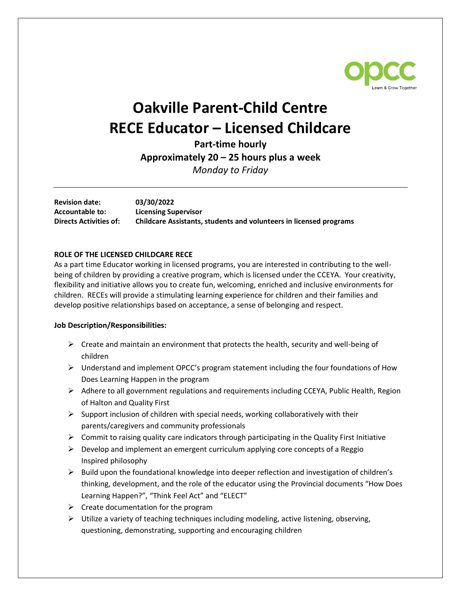

## **Oakville Parent-Child Centre RECE Educator – Licensed Childcare**

**Part-time hourly Approximately 20 – 25 hours plus a week**

*Monday to Friday*

**Revision date: 03/30/2022 Accountable to: Licensing Supervisor Directs Activities of: Childcare Assistants, students and volunteers in licensed programs**

## **ROLE OF THE LICENSED CHILDCARE RECE**

As a part time Educator working in licensed programs, you are interested in contributing to the wellbeing of children by providing a creative program, which is licensed under the CCEYA. Your creativity, flexibility and initiative allows you to create fun, welcoming, enriched and inclusive environments for children. RECEs will provide a stimulating learning experience for children and their families and develop positive relationships based on acceptance, a sense of belonging and respect.

## **Job Description/Responsibilities:**

- $\triangleright$  Create and maintain an environment that protects the health, security and well-being of children
- $\triangleright$  Understand and implement OPCC's program statement including the four foundations of How Does Learning Happen in the program
- $\triangleright$  Adhere to all government regulations and requirements including CCEYA, Public Health, Region of Halton and Quality First
- $\triangleright$  Support inclusion of children with special needs, working collaboratively with their parents/caregivers and community professionals
- $\triangleright$  Commit to raising quality care indicators through participating in the Quality First Initiative
- $\triangleright$  Develop and implement an emergent curriculum applying core concepts of a Reggio Inspired philosophy
- $\triangleright$  Build upon the foundational knowledge into deeper reflection and investigation of children's thinking, development, and the role of the educator using the Provincial documents "How Does Learning Happen?", "Think Feel Act" and "ELECT"
- $\triangleright$  Create documentation for the program
- $\triangleright$  Utilize a variety of teaching techniques including modeling, active listening, observing, questioning, demonstrating, supporting and encouraging children